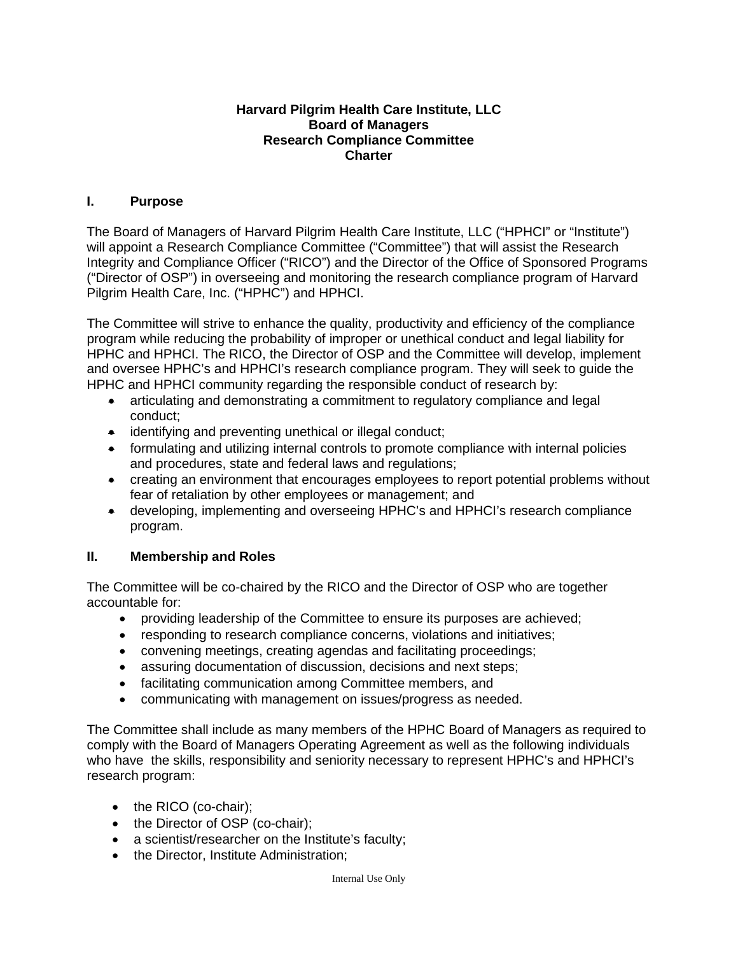### **Harvard Pilgrim Health Care Institute, LLC Board of Managers Research Compliance Committee Charter**

# **I. Purpose**

The Board of Managers of Harvard Pilgrim Health Care Institute, LLC ("HPHCI" or "Institute") will appoint a Research Compliance Committee ("Committee") that will assist the Research Integrity and Compliance Officer ("RICO") and the Director of the Office of Sponsored Programs ("Director of OSP") in overseeing and monitoring the research compliance program of Harvard Pilgrim Health Care, Inc. ("HPHC") and HPHCI.

The Committee will strive to enhance the quality, productivity and efficiency of the compliance program while reducing the probability of improper or unethical conduct and legal liability for HPHC and HPHCI. The RICO, the Director of OSP and the Committee will develop, implement and oversee HPHC's and HPHCI's research compliance program. They will seek to guide the HPHC and HPHCI community regarding the responsible conduct of research by:

- articulating and demonstrating a commitment to regulatory compliance and legal conduct;
- identifying and preventing unethical or illegal conduct:
- formulating and utilizing internal controls to promote compliance with internal policies and procedures, state and federal laws and regulations;
- creating an environment that encourages employees to report potential problems without fear of retaliation by other employees or management; and
- developing, implementing and overseeing HPHC's and HPHCI's research compliance program.

## **II. Membership and Roles**

The Committee will be co-chaired by the RICO and the Director of OSP who are together accountable for:

- providing leadership of the Committee to ensure its purposes are achieved;
- responding to research compliance concerns, violations and initiatives;
- convening meetings, creating agendas and facilitating proceedings;
- assuring documentation of discussion, decisions and next steps;
- facilitating communication among Committee members, and
- communicating with management on issues/progress as needed.

The Committee shall include as many members of the HPHC Board of Managers as required to comply with the Board of Managers Operating Agreement as well as the following individuals who have the skills, responsibility and seniority necessary to represent HPHC's and HPHCI's research program:

- the RICO (co-chair);
- the Director of OSP (co-chair);
- a scientist/researcher on the Institute's faculty;
- the Director, Institute Administration;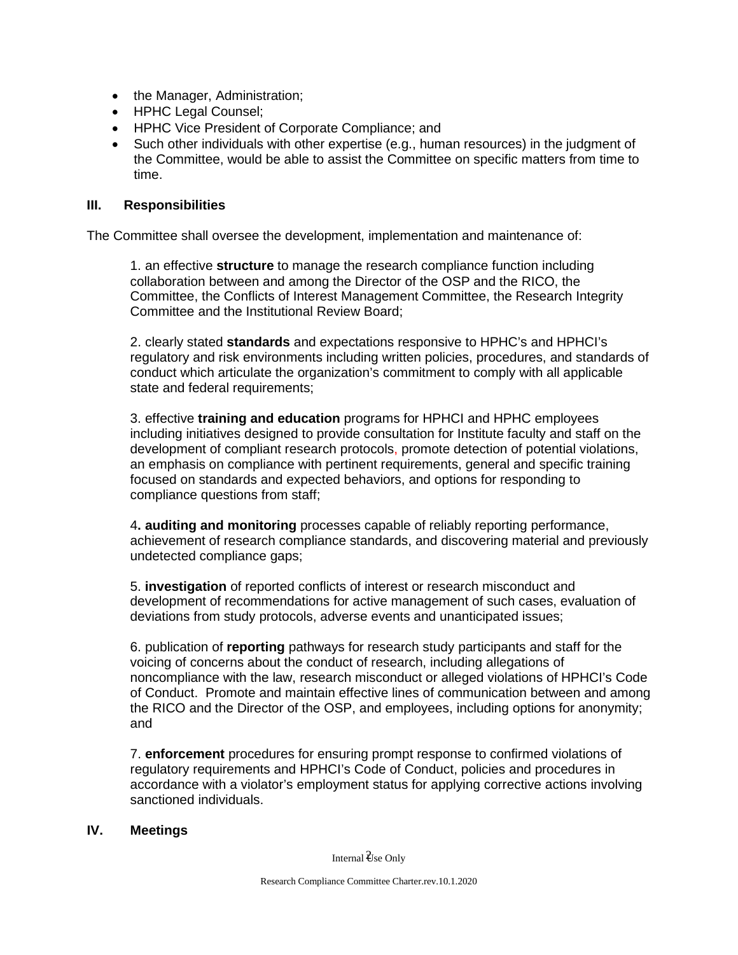- the Manager, Administration;
- HPHC Legal Counsel;
- HPHC Vice President of Corporate Compliance; and
- Such other individuals with other expertise (e.g., human resources) in the judgment of the Committee, would be able to assist the Committee on specific matters from time to time.

### **III. Responsibilities**

The Committee shall oversee the development, implementation and maintenance of:

1. an effective **structure** to manage the research compliance function including collaboration between and among the Director of the OSP and the RICO, the Committee, the Conflicts of Interest Management Committee, the Research Integrity Committee and the Institutional Review Board;

2. clearly stated **standards** and expectations responsive to HPHC's and HPHCI's regulatory and risk environments including written policies, procedures, and standards of conduct which articulate the organization's commitment to comply with all applicable state and federal requirements:

3. effective **training and education** programs for HPHCI and HPHC employees including initiatives designed to provide consultation for Institute faculty and staff on the development of compliant research protocols, promote detection of potential violations, an emphasis on compliance with pertinent requirements, general and specific training focused on standards and expected behaviors, and options for responding to compliance questions from staff;

4**. auditing and monitoring** processes capable of reliably reporting performance, achievement of research compliance standards, and discovering material and previously undetected compliance gaps;

5. **investigation** of reported conflicts of interest or research misconduct and development of recommendations for active management of such cases, evaluation of deviations from study protocols, adverse events and unanticipated issues;

6. publication of **reporting** pathways for research study participants and staff for the voicing of concerns about the conduct of research, including allegations of noncompliance with the law, research misconduct or alleged violations of HPHCI's Code of Conduct. Promote and maintain effective lines of communication between and among the RICO and the Director of the OSP, and employees, including options for anonymity; and

7. **enforcement** procedures for ensuring prompt response to confirmed violations of regulatory requirements and HPHCI's Code of Conduct, policies and procedures in accordance with a violator's employment status for applying corrective actions involving sanctioned individuals.

#### **IV. Meetings**

Internal  $\mathcal{\mathcal{Y}}$ se Only